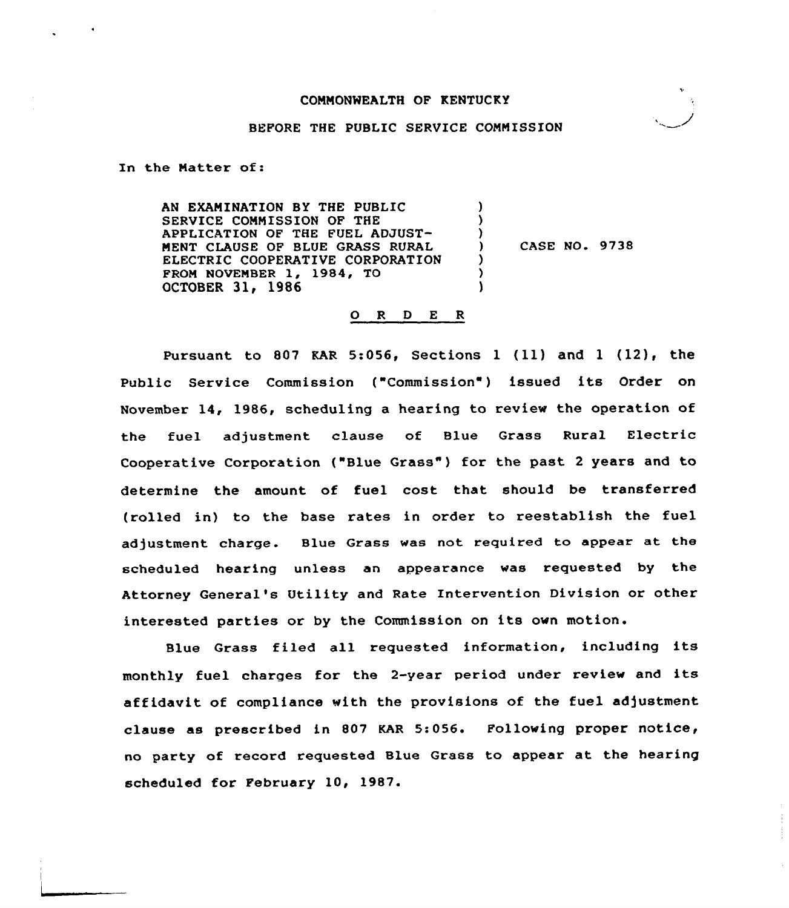### COMMONWEALTH OF KENTUCKY

#### BEFORE THE PUBLIC SERVICE COMMISSION

In the Natter of:

AN EXAMINATION BY THE PUBLIC SERVICE COMMISSION OF THE APPLICATION OF THE FUEL ADJUST-MENT CLAUSE OF BLUE GRASS RURAL ELECTRIC COOPERATIVE CORPORATION FROM NOVEMBER 1, 1984, TO OCTOBER 31, 1986 ) ) )<br>) ) CASE NO. 9738 ) ) )

#### 0 <sup>R</sup> <sup>D</sup> <sup>E</sup> <sup>R</sup>

Pursuant to 807 KAR 5:056, Sections  $1$  (11) and  $1$  (12), the Public Service Commission ("Commission ) issued its Order on November 14, 1986, scheduling a hearing to review the operation of the fuel adjustment clause of Blue Grass Rural Electric Cooperative Corporation {"Blue Grass" ) for the past <sup>2</sup> years and to determine the amount of fuel cost that should be transferred (rolled in) to the base rates in order to reestablish the fuel adjustment charge. Blue Grass was not required to appear at the scheduled hearing unless an appearance was requested by the Attorney General's Utility and Rate Intervention Division or other interested parties or by the Commission on its own motion.

Blue Grass filed all requested information, including its monthly fuel charges for the 2-year period under review and its affidavit of compliance with the provisions of the fuel adjustment clause as prescribed in 807 KAR 5:056. Following proper notice, no party of record requested Blue Grass to appear at the hearing scheduled for February 10, 1987.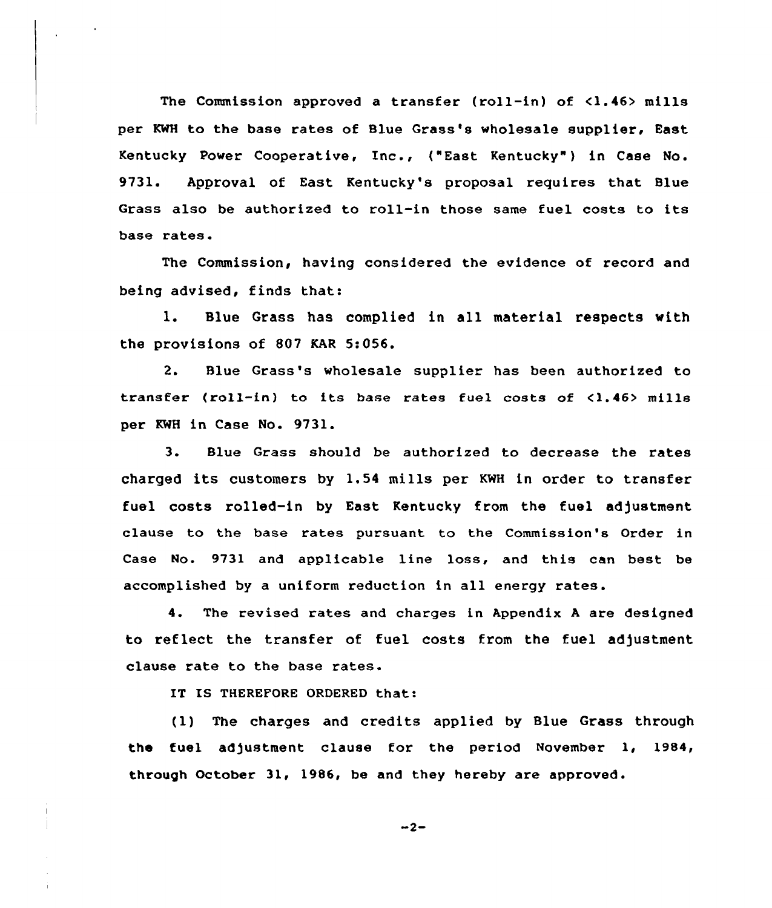The Commission approved a transfer (roll-in) of <1.46> mills per KWH to the base rates of Blue Grass's wholesale supplier, East Kentucky Power Cooperative, Inc., ("East Kentucky" ) in Case No. 9731. Approval of East Kentucky's proposal requires that Blue Grass also be authorized to roll-in those same fuel costs to its base rates.

The Commission, having considered the evidence of record and being advised, finds that:

1. Blue Grass has complied in all material respects with the provisions of 807 KAR 5:056.

2. Blue Grass's wholesale supplier has been authorized to transfer (roll-in) to its base rates fuel costs of <1.46> mills per KWH in Case No. 9731.

3. Blue Grass should be authorized to decrease the rates charged its customers by 1.54 mills per KWH in order to transfer fuel costs rolled-in by East Kentucky from the fuel adjustment clause to the base rates pursuant to the Commission's Order in Case No. 9731 and applicable line loss, and this can best be accomplished by a uniform reduction in all energy rates.

4. The revised rates and charges in Appendix <sup>A</sup> are designed to reflect the transfer of fuel costs from the fuel adjustment clause rate to the base rates.

IT IS THEREFORE ORDERED that:

(1) The charges and credits applied by Blue Grass through the fuel adjustment clause for the period November 1, 1984, through October 31, 1986, be and they hereby are approved.

 $-2-$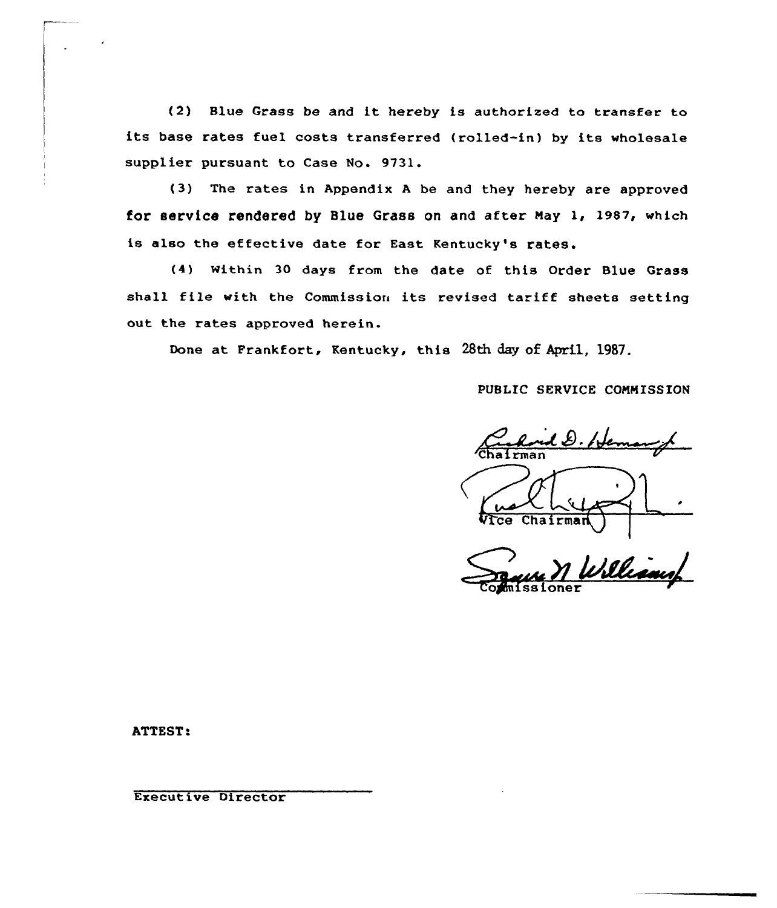(2) Blue Grass be and it hereby is authorised to transfer to its base rates fuel costs transferred (rolled-in) by its wholesale supplier pursuant to Case No. 9731.

(3) The rates in Appendix <sup>A</sup> be and they hereby are approved for service rendered by Blue Grass on and after Nay 1, 1987, which is also the effective date for East Kentucky's rates.

{4) Within 30 days from the date of this Order Blue Grass shall file with the Commission its revised tariff sheets setting out the rates approved herein.

Done at Frankfort, Kentucky, this 28th day of Apri1, 1987.

PUBLIC SERVICE COMMISSION

<u>il D. Hema</u>  $\overline{\text{Chalrm}}$ 

Chairma

bliamp

ATTEST:

Executive Director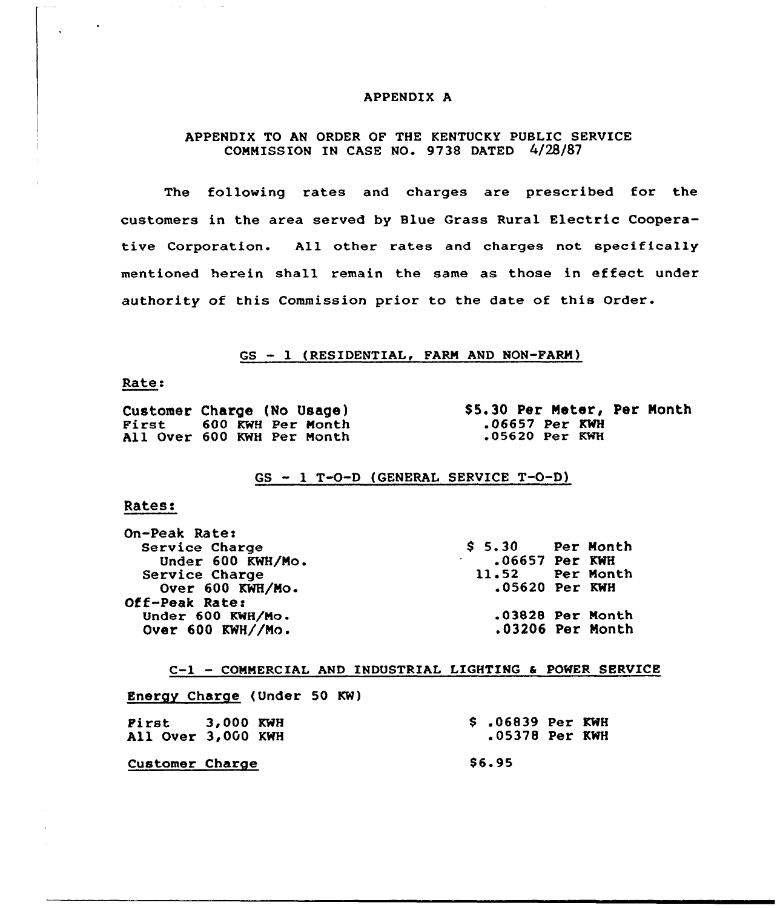#### APPENDIX A

## APPENDIX TO AN ORDER OF THE KENTUCKY PUBLIC SERVICE CONNISSION IN CASE NO. 9738 DATED 4/28/87

The following rates and charges are prescribed for the customers in the area served by Blue Grass Rural Electric Cooperative Corporation. All other rates and charges not specifically mentioned herein shall remain the same as those in effect under authority of this Commission prior to the date of this Order.

GS - 1 (RESIDENTIAL, FARM AND NON-FARM)

#### Rate:

|  | Customer Charge (No Usage) |  |
|--|----------------------------|--|
|  | First 600 KWH Per Month    |  |
|  | All Over 600 KWH Per Month |  |

\$ 5.30 Per Meter, Per Month .06657 Per KWH<br>.05620 Per KWH

GS - <sup>1</sup> T-O-D (GENERAL SERVICE T-O-D)

### Rates:

| <b>On-Peak Rate:</b> |                    |  |
|----------------------|--------------------|--|
| Service Charge       | $$5.30$ Per Month  |  |
| Under 600 KWH/Mo.    | $.06657$ Per KWH   |  |
| Service Charge       | 11.52 Per Month    |  |
| Over 600 KWH/Mo.     | $.05620$ Per KWH   |  |
| Off-Peak Rate:       |                    |  |
| Under 600 KWH/Mo.    | $.03828$ Per Month |  |
| Over 600 KWH//Mo.    | .03206 Per Month   |  |
|                      |                    |  |

C-1 —CONNERCIAL AND INDUSTRIAL LIGHTING & POWER SERVICE

Energy Charge (Under 50 KW)

| Pirst 3,000 KWH<br>All Over 3,000 KWH |  |  | $$.06839$ Per KWH<br>.05378 Per KWH |  |
|---------------------------------------|--|--|-------------------------------------|--|
| Customer Charge                       |  |  | <b>S6.95</b>                        |  |